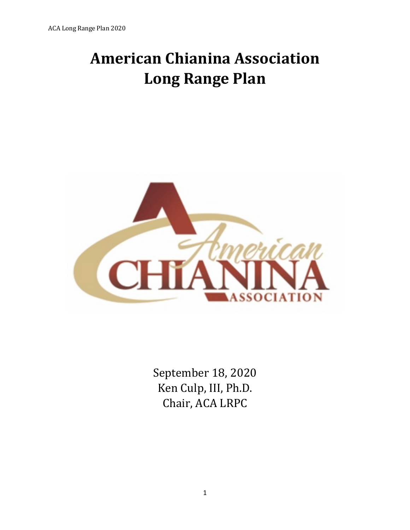# **American Chianina Association Long Range Plan**



September 18, 2020 Ken Culp, III, Ph.D. Chair, ACA LRPC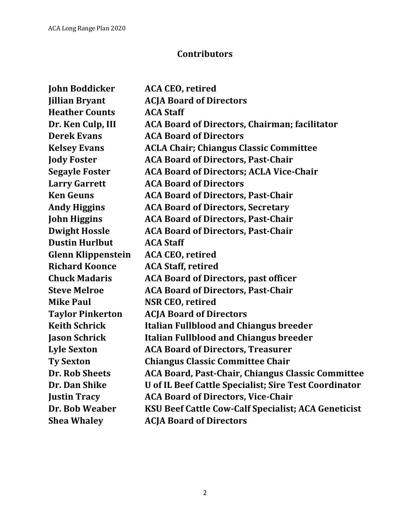# **Contributors**

| <b>John Boddicker</b>     | <b>ACA CEO, retired</b>                                    |
|---------------------------|------------------------------------------------------------|
| <b>Jillian Bryant</b>     | <b>ACJA Board of Directors</b>                             |
| <b>Heather Counts</b>     | <b>ACA Staff</b>                                           |
| Dr. Ken Culp, III         | <b>ACA Board of Directors, Chairman; facilitator</b>       |
| <b>Derek Evans</b>        | <b>ACA Board of Directors</b>                              |
| <b>Kelsey Evans</b>       | <b>ACLA Chair; Chiangus Classic Committee</b>              |
| <b>Jody Foster</b>        | <b>ACA Board of Directors, Past-Chair</b>                  |
| <b>Segayle Foster</b>     | <b>ACA Board of Directors; ACLA Vice-Chair</b>             |
| <b>Larry Garrett</b>      | <b>ACA Board of Directors</b>                              |
| <b>Ken Geuns</b>          | <b>ACA Board of Directors, Past-Chair</b>                  |
| <b>Andy Higgins</b>       | <b>ACA Board of Directors, Secretary</b>                   |
| <b>John Higgins</b>       | <b>ACA Board of Directors, Past-Chair</b>                  |
| <b>Dwight Hossle</b>      | <b>ACA Board of Directors, Past-Chair</b>                  |
| <b>Dustin Hurlbut</b>     | <b>ACA Staff</b>                                           |
| <b>Glenn Klippenstein</b> | <b>ACA CEO, retired</b>                                    |
| <b>Richard Koonce</b>     | <b>ACA Staff, retired</b>                                  |
| <b>Chuck Madaris</b>      | <b>ACA Board of Directors, past officer</b>                |
| <b>Steve Melroe</b>       | <b>ACA Board of Directors, Past-Chair</b>                  |
| <b>Mike Paul</b>          | <b>NSR CEO, retired</b>                                    |
| <b>Taylor Pinkerton</b>   | <b>ACJA Board of Directors</b>                             |
| <b>Keith Schrick</b>      | <b>Italian Fullblood and Chiangus breeder</b>              |
| <b>Jason Schrick</b>      | <b>Italian Fullblood and Chiangus breeder</b>              |
| <b>Lyle Sexton</b>        | <b>ACA Board of Directors, Treasurer</b>                   |
| <b>Ty Sexton</b>          | <b>Chiangus Classic Committee Chair</b>                    |
| <b>Dr. Rob Sheets</b>     | <b>ACA Board, Past-Chair, Chiangus Classic Committee</b>   |
| Dr. Dan Shike             | U of IL Beef Cattle Specialist; Sire Test Coordinator      |
| <b>Justin Tracy</b>       | <b>ACA Board of Directors, Vice-Chair</b>                  |
| Dr. Bob Weaber            | <b>KSU Beef Cattle Cow-Calf Specialist; ACA Geneticist</b> |
| <b>Shea Whaley</b>        | <b>ACJA Board of Directors</b>                             |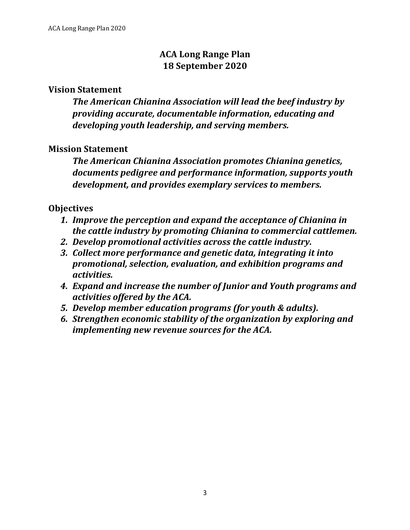# **ACA Long Range Plan 18 September 2020**

#### **Vision Statement**

The American Chianina Association will lead the beef industry by *providing accurate, documentable information, educating and*  developing youth leadership, and serving members.

#### **Mission Statement**

**The American Chianina Association promotes Chianina genetics,** documents pedigree and performance information, supports youth development, and provides exemplary services to members.

#### **Objectives**

- 1. Improve the perception and expand the acceptance of Chianina in *the cattle industry by promoting Chianina to commercial cattlemen.*
- 2. Develop promotional activities across the cattle industry.
- **3. Collect more performance and genetic data, integrating it into** *promotional, selection, evaluation, and exhibition programs and activities.*
- **4. Expand and increase the number of Junior and Youth programs and** *activities offered by the ACA.*
- *5. Develop member education programs (for youth & adults).*
- **6.** *Strengthen economic stability of the organization by exploring and implementing new revenue sources for the ACA.*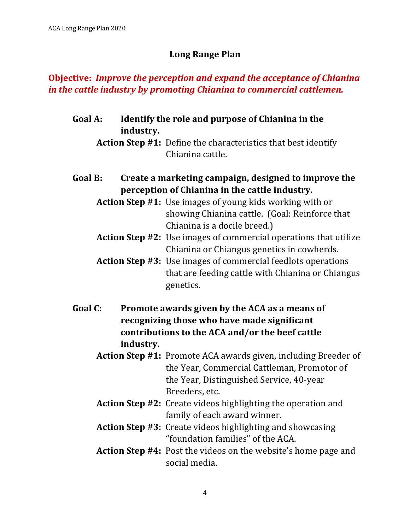## **Long Range Plan**

## **Objective: Improve the perception and expand the acceptance of Chianina** *in the cattle industry by promoting Chianina to commercial cattlemen.*

Goal A: Identify the role and purpose of Chianina in the **industry.**

**Action Step #1:** Define the characteristics that best identify Chianina cattle.

Goal B: Create a marketing campaign, designed to improve the **perception of Chianina in the cattle industry.** 

**Action Step #1:** Use images of young kids working with or showing Chianina cattle. (Goal: Reinforce that Chianina is a docile breed.)

- **Action Step #2:** Use images of commercial operations that utilize Chianina or Chiangus genetics in cowherds.
- **Action Step #3:** Use images of commercial feedlots operations that are feeding cattle with Chianina or Chiangus genetics.
- Goal C: Promote awards given by the ACA as a means of **recognizing those who have made significant** contributions to the ACA and/or the beef cattle **industry.**
	- **Action Step #1:** Promote ACA awards given, including Breeder of the Year, Commercial Cattleman, Promotor of the Year, Distinguished Service, 40-year Breeders, etc.
	- **Action Step #2:** Create videos highlighting the operation and family of each award winner.
	- **Action Step #3:** Create videos highlighting and showcasing "foundation families" of the ACA.
	- **Action Step #4:** Post the videos on the website's home page and social media.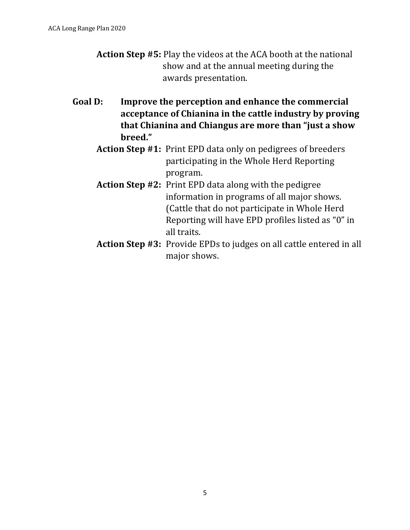- **Action Step #5:** Play the videos at the ACA booth at the national show and at the annual meeting during the awards presentation.
- Goal D: Improve the perception and enhance the commercial acceptance of Chianina in the cattle industry by proving that Chianina and Chiangus are more than "just a show **breed."**
	- Action Step #1: Print EPD data only on pedigrees of breeders participating in the Whole Herd Reporting program.
	- **Action Step #2:** Print EPD data along with the pedigree information in programs of all major shows. (Cattle that do not participate in Whole Herd Reporting will have EPD profiles listed as "0" in all traits.
	- **Action Step #3:** Provide EPDs to judges on all cattle entered in all major shows.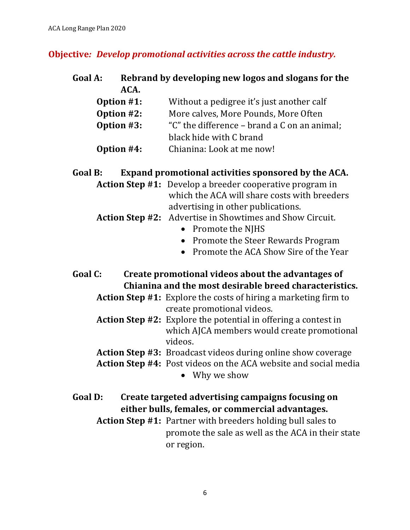#### **Objective: Develop promotional activities across the cattle industry.**

# Goal A: Rebrand by developing new logos and slogans for the **ACA.**

- **Option #1:** Without a pedigree it's just another calf
- **Option #2:** More calves, More Pounds, More Often
- **Option** #3: "C" the difference brand a C on an animal; black hide with C brand
- **Option #4:** Chianina: Look at me now!

## Goal B: Expand promotional activities sponsored by the ACA.

**Action Step #1:** Develop a breeder cooperative program in which the ACA will share costs with breeders advertising in other publications.

#### **Action Step #2:** Advertise in Showtimes and Show Circuit.

- Promote the NIHS
- Promote the Steer Rewards Program
- Promote the ACA Show Sire of the Year
- Goal C: Create promotional videos about the advantages of **Chianina and the most desirable breed characteristics.** 
	- **Action Step #1:** Explore the costs of hiring a marketing firm to create promotional videos.
	- **Action Step #2:** Explore the potential in offering a contest in which AJCA members would create promotional videos.
	- **Action Step #3:** Broadcast videos during online show coverage
	- **Action Step #4:** Post videos on the ACA website and social media
		- Why we show
- Goal D: Create targeted advertising campaigns focusing on either bulls, females, or commercial advantages.
	- **Action Step #1:** Partner with breeders holding bull sales to promote the sale as well as the ACA in their state or region.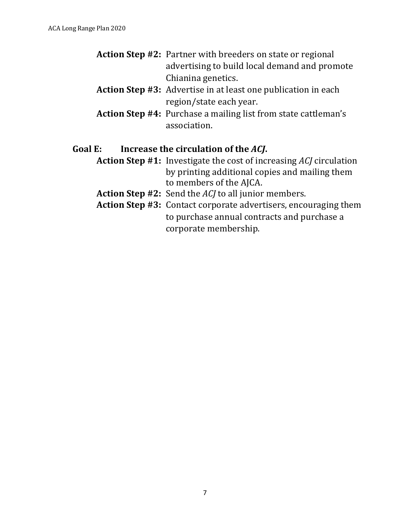- **Action Step #2:** Partner with breeders on state or regional advertising to build local demand and promote Chianina genetics.
- **Action Step #3:** Advertise in at least one publication in each region/state each year.
- **Action Step #4:** Purchase a mailing list from state cattleman's association.

#### Goal E: Increase the circulation of the *ACJ*.

- **Action Step #1:** Investigate the cost of increasing *ACJ* circulation by printing additional copies and mailing them to members of the AJCA.
- **Action Step #2:** Send the *ACJ* to all junior members.
- Action Step #3: Contact corporate advertisers, encouraging them to purchase annual contracts and purchase a corporate membership.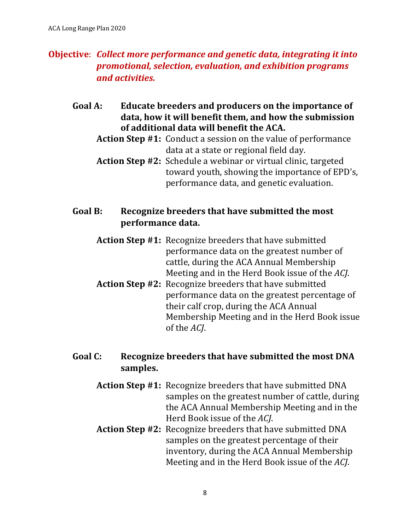# **Objective:** Collect more performance and genetic data, integrating it into *promotional, selection, evaluation, and exhibition programs and activities.*

- Goal A: Educate breeders and producers on the importance of data, how it will benefit them, and how the submission of additional data will benefit the ACA.
	- **Action Step #1:** Conduct a session on the value of performance data at a state or regional field day.
	- **Action Step #2:** Schedule a webinar or virtual clinic, targeted toward youth, showing the importance of EPD's, performance data, and genetic evaluation.

## Goal B: Recognize breeders that have submitted the most **performance data.**

- **Action Step #1:** Recognize breeders that have submitted performance data on the greatest number of cattle, during the ACA Annual Membership Meeting and in the Herd Book issue of the *AC*.
- **Action Step #2:** Recognize breeders that have submitted performance data on the greatest percentage of their calf crop, during the ACA Annual Membership Meeting and in the Herd Book issue of the *ACJ*.

# Goal C: Recognize breeders that have submitted the most DNA **samples.**

- **Action Step #1:** Recognize breeders that have submitted DNA samples on the greatest number of cattle, during the ACA Annual Membership Meeting and in the Herd Book issue of the *ACI*.
- **Action Step #2:** Recognize breeders that have submitted DNA samples on the greatest percentage of their inventory, during the ACA Annual Membership Meeting and in the Herd Book issue of the *AC*.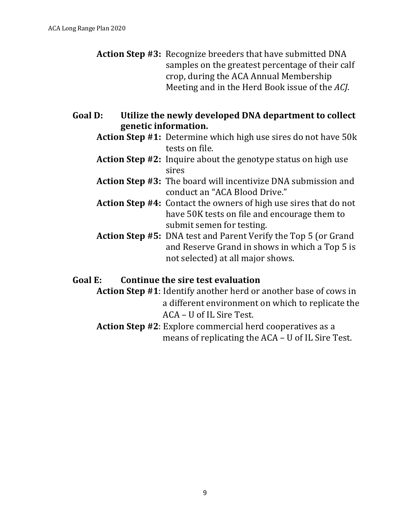- **Action Step #3:** Recognize breeders that have submitted DNA samples on the greatest percentage of their calf crop, during the ACA Annual Membership Meeting and in the Herd Book issue of the ACJ.
- Goal D: Utilize the newly developed DNA department to collect **genetic information.**
	- **Action Step #1:** Determine which high use sires do not have 50k tests on file.
	- **Action Step #2:** Inquire about the genotype status on high use sires
	- **Action Step #3:** The board will incentivize DNA submission and conduct an "ACA Blood Drive."
	- **Action Step #4:** Contact the owners of high use sires that do not have 50K tests on file and encourage them to submit semen for testing.
	- **Action Step #5:** DNA test and Parent Verify the Top 5 (or Grand and Reserve Grand in shows in which a Top 5 is not selected) at all major shows.

#### Goal E: Continue the sire test evaluation

**Action Step #1**: Identify another herd or another base of cows in a different environment on which to replicate the ACA – U of IL Sire Test.

Action Step #2: Explore commercial herd cooperatives as a means of replicating the  $ACA - U$  of IL Sire Test.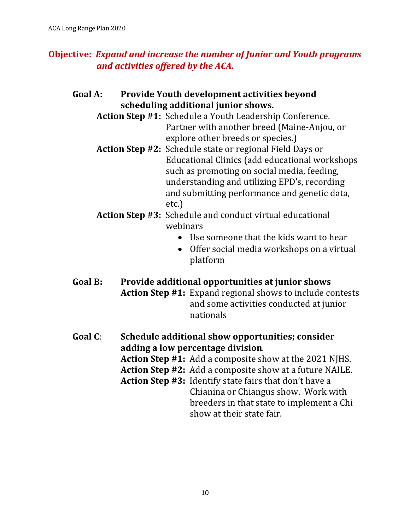# **Objective: Expand and increase the number of Junior and Youth programs** *and activities offered by the ACA.*

- Goal A: Provide Youth development activities beyond **scheduling additional junior shows.**
	- Action Step #1: Schedule a Youth Leadership Conference. Partner with another breed (Maine-Anjou, or explore other breeds or species.)
	- **Action Step #2:** Schedule state or regional Field Days or Educational Clinics (add educational workshops such as promoting on social media, feeding, understanding and utilizing EPD's, recording and submitting performance and genetic data, etc.)
	- Action Step #3: Schedule and conduct virtual educational webinars
		- $\bullet$  Use someone that the kids want to hear
		- Offer social media workshops on a virtual platform
- Goal B: Provide additional opportunities at junior shows Action Step #1: Expand regional shows to include contests and some activities conducted at junior nationals
- Goal C: Schedule additional show opportunities; consider **adding a low percentage division**. **Action Step #1:** Add a composite show at the 2021 NJHS. **Action Step #2:** Add a composite show at a future NAILE. **Action Step #3:** Identify state fairs that don't have a Chianina or Chiangus show. Work with breeders in that state to implement a Chi show at their state fair.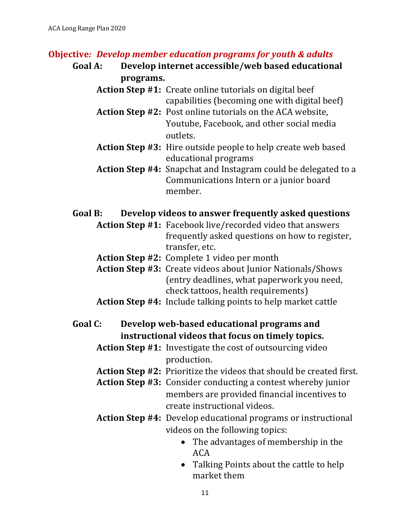#### **Objective: Develop member education programs for youth & adults**

## Goal A: Develop internet accessible/web based educational **programs.**

- **Action Step #1:** Create online tutorials on digital beef capabilities (becoming one with digital beef)
- Action Step #2: Post online tutorials on the ACA website, Youtube, Facebook, and other social media outlets.
- **Action Step #3:** Hire outside people to help create web based educational programs
- **Action Step #4:** Snapchat and Instagram could be delegated to a Communications Intern or a junior board member.

#### Goal B: Develop videos to answer frequently asked questions

- **Action Step #1:** Facebook live/recorded video that answers frequently asked questions on how to register, transfer, etc.
- **Action Step #2:** Complete 1 video per month

**Action Step #3:** Create videos about Junior Nationals/Shows (entry deadlines, what paperwork you need, check tattoos, health requirements)

**Action Step #4:** Include talking points to help market cattle

## Goal C: Develop web-based educational programs and **instructional videos that focus on timely topics.**

- **Action Step #1:** Investigate the cost of outsourcing video production.
- **Action Step #2:** Prioritize the videos that should be created first.
- **Action Step #3:** Consider conducting a contest whereby junior members are provided financial incentives to create instructional videos.
- **Action Step #4:** Develop educational programs or instructional videos on the following topics:
	- The advantages of membership in the ACA
	- Talking Points about the cattle to help market them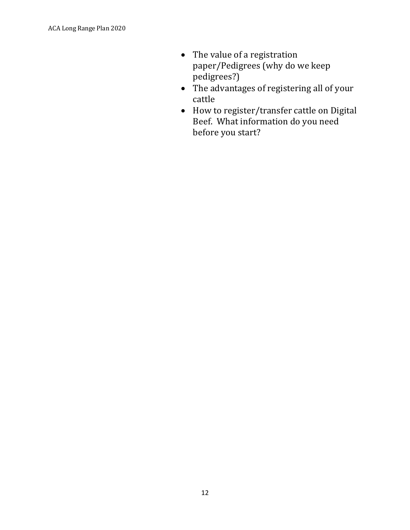- $\bullet$  The value of a registration paper/Pedigrees (why do we keep pedigrees?)
- The advantages of registering all of your cattle
- How to register/transfer cattle on Digital Beef. What information do you need before you start?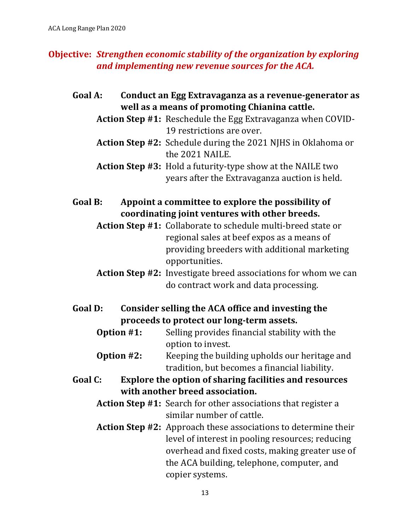# **Objective:** *Strengthen economic stability of the organization by exploring and implementing new revenue sources for the ACA.*

- Goal A: Conduct an Egg Extravaganza as a revenue-generator as well as a means of promoting Chianina cattle.
	- **Action Step #1:** Reschedule the Egg Extravaganza when COVID-19 restrictions are over.
	- **Action Step #2:** Schedule during the 2021 NJHS in Oklahoma or the 2021 NAILE.
	- **Action Step #3:** Hold a futurity-type show at the NAILE two years after the Extravaganza auction is held.
- Goal B: Appoint a committee to explore the possibility of coordinating joint ventures with other breeds.
	- **Action Step #1:** Collaborate to schedule multi-breed state or regional sales at beef expos as a means of providing breeders with additional marketing opportunities.
	- **Action Step #2:** Investigate breed associations for whom we can do contract work and data processing.
- Goal D: Consider selling the ACA office and investing the proceeds to protect our long-term assets.
	- **Option #1:** Selling provides financial stability with the option to invest.
	- **Option #2:** Keeping the building upholds our heritage and tradition, but becomes a financial liability.
- Goal C: Explore the option of sharing facilities and resources **with another breed association.** 
	- **Action Step #1:** Search for other associations that register a similar number of cattle.
	- **Action Step #2:** Approach these associations to determine their level of interest in pooling resources; reducing overhead and fixed costs, making greater use of the ACA building, telephone, computer, and copier systems.